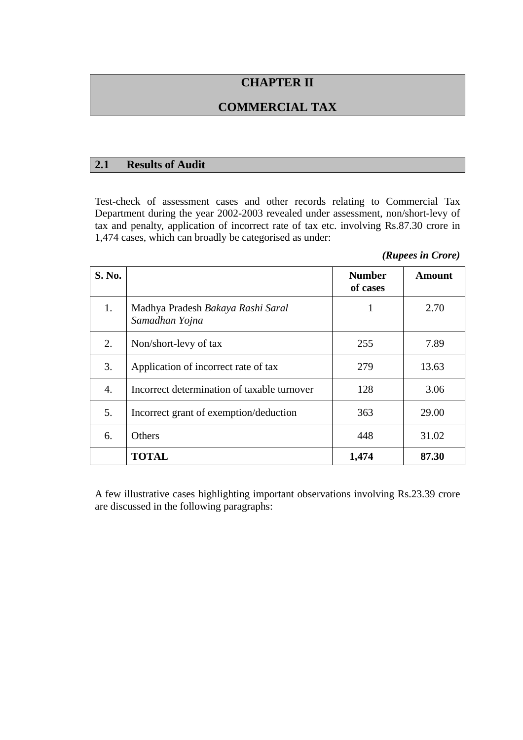# **CHAPTER II**

# **COMMERCIAL TAX**

#### **2.1 Results of Audit**

Test-check of assessment cases and other records relating to Commercial Tax Department during the year 2002-2003 revealed under assessment, non/short-levy of tax and penalty, application of incorrect rate of tax etc. involving Rs.87.30 crore in 1,474 cases, which can broadly be categorised as under:

*(Rupees in Crore)* 

| S. No. |                                                     | <b>Number</b><br>of cases | Amount |
|--------|-----------------------------------------------------|---------------------------|--------|
| 1.     | Madhya Pradesh Bakaya Rashi Saral<br>Samadhan Yojna | 1                         | 2.70   |
| 2.     | Non/short-levy of tax                               | 255                       | 7.89   |
| 3.     | Application of incorrect rate of tax                | 279                       | 13.63  |
| 4.     | Incorrect determination of taxable turnover         | 128                       | 3.06   |
| 5.     | Incorrect grant of exemption/deduction              | 363                       | 29.00  |
| 6.     | <b>Others</b>                                       | 448                       | 31.02  |
|        | <b>TOTAL</b>                                        | 1,474                     | 87.30  |

A few illustrative cases highlighting important observations involving Rs.23.39 crore are discussed in the following paragraphs: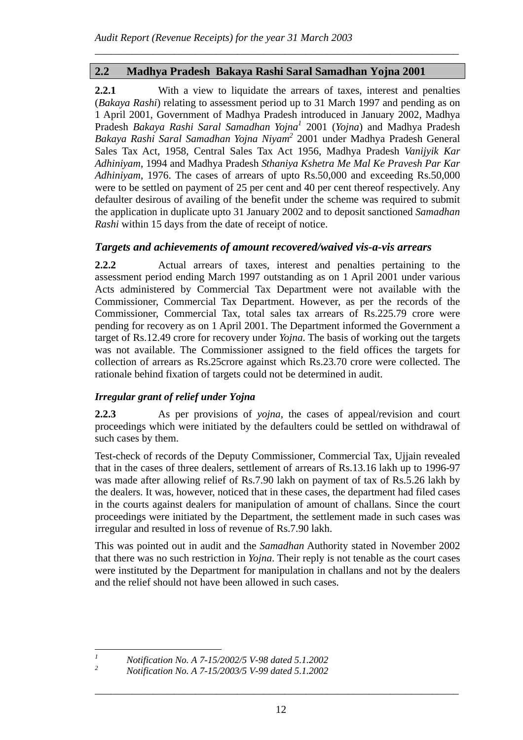# **2.2 Madhya Pradesh Bakaya Rashi Saral Samadhan Yojna 2001**

**2.2.1** With a view to liquidate the arrears of taxes, interest and penalties (*Bakaya Rashi*) relating to assessment period up to 31 March 1997 and pending as on 1 April 2001, Government of Madhya Pradesh introduced in January 2002, Madhya Pradesh *Bakaya Rashi Saral Samadhan Yojna1* 2001 (*Yojna*) and Madhya Pradesh *Bakaya Rashi Saral Samadhan Yojna Niyam2* 2001 under Madhya Pradesh General Sales Tax Act, 1958, Central Sales Tax Act 1956, Madhya Pradesh *Vanijyik Kar Adhiniyam*, 1994 and Madhya Pradesh *Sthaniya Kshetra Me Mal Ke Pravesh Par Kar Adhiniyam*, 1976. The cases of arrears of upto Rs.50,000 and exceeding Rs.50,000 were to be settled on payment of 25 per cent and 40 per cent thereof respectively. Any defaulter desirous of availing of the benefit under the scheme was required to submit the application in duplicate upto 31 January 2002 and to deposit sanctioned *Samadhan Rashi* within 15 days from the date of receipt of notice.

*\_\_\_\_\_\_\_\_\_\_\_\_\_\_\_\_\_\_\_\_\_\_\_\_\_\_\_\_\_\_\_\_\_\_\_\_\_\_\_\_\_\_\_\_\_\_\_\_\_\_\_\_\_\_\_\_\_\_\_\_\_\_\_\_\_\_\_\_\_* 

### *Targets and achievements of amount recovered/waived vis-a-vis arrears*

**2.2.2** Actual arrears of taxes, interest and penalties pertaining to the assessment period ending March 1997 outstanding as on 1 April 2001 under various Acts administered by Commercial Tax Department were not available with the Commissioner, Commercial Tax Department. However, as per the records of the Commissioner, Commercial Tax, total sales tax arrears of Rs.225.79 crore were pending for recovery as on 1 April 2001. The Department informed the Government a target of Rs.12.49 crore for recovery under *Yojna*. The basis of working out the targets was not available. The Commissioner assigned to the field offices the targets for collection of arrears as Rs.25crore against which Rs.23.70 crore were collected. The rationale behind fixation of targets could not be determined in audit.

# *Irregular grant of relief under Yojna*

**2.2.3** As per provisions of *yojna*, the cases of appeal/revision and court proceedings which were initiated by the defaulters could be settled on withdrawal of such cases by them.

Test-check of records of the Deputy Commissioner, Commercial Tax, Ujjain revealed that in the cases of three dealers, settlement of arrears of Rs.13.16 lakh up to 1996-97 was made after allowing relief of Rs.7.90 lakh on payment of tax of Rs.5.26 lakh by the dealers. It was, however, noticed that in these cases, the department had filed cases in the courts against dealers for manipulation of amount of challans. Since the court proceedings were initiated by the Department, the settlement made in such cases was irregular and resulted in loss of revenue of Rs.7.90 lakh.

This was pointed out in audit and the *Samadhan* Authority stated in November 2002 that there was no such restriction in *Yojna*. Their reply is not tenable as the court cases were instituted by the Department for manipulation in challans and not by the dealers and the relief should not have been allowed in such cases.

 *1*

*Notification No. A 7-15/2002/5 V-98 dated 5.1.2002* 

*<sup>2</sup> Notification No. A 7-15/2003/5 V-99 dated 5.1.2002*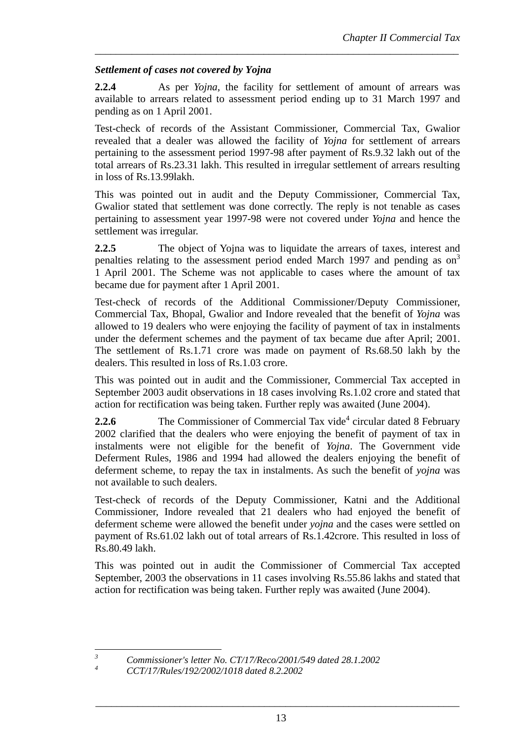### *Settlement of cases not covered by Yojna*

**2.2.4** As per *Yojna*, the facility for settlement of amount of arrears was available to arrears related to assessment period ending up to 31 March 1997 and pending as on 1 April 2001.

*\_\_\_\_\_\_\_\_\_\_\_\_\_\_\_\_\_\_\_\_\_\_\_\_\_\_\_\_\_\_\_\_\_\_\_\_\_\_\_\_\_\_\_\_\_\_\_\_\_\_\_\_\_\_\_\_\_\_\_\_\_\_\_\_\_\_\_\_\_* 

Test-check of records of the Assistant Commissioner, Commercial Tax, Gwalior revealed that a dealer was allowed the facility of *Yojna* for settlement of arrears pertaining to the assessment period 1997-98 after payment of Rs.9.32 lakh out of the total arrears of Rs.23.31 lakh. This resulted in irregular settlement of arrears resulting in loss of Rs.13.99lakh.

This was pointed out in audit and the Deputy Commissioner, Commercial Tax, Gwalior stated that settlement was done correctly. The reply is not tenable as cases pertaining to assessment year 1997-98 were not covered under *Yojna* and hence the settlement was irregular.

**2.2.5** The object of Yojna was to liquidate the arrears of taxes, interest and penalties relating to the assessment period ended March 1997 and pending as  $\text{on}^3$ 1 April 2001. The Scheme was not applicable to cases where the amount of tax became due for payment after 1 April 2001.

Test-check of records of the Additional Commissioner/Deputy Commissioner, Commercial Tax, Bhopal, Gwalior and Indore revealed that the benefit of *Yojna* was allowed to 19 dealers who were enjoying the facility of payment of tax in instalments under the deferment schemes and the payment of tax became due after April; 2001. The settlement of Rs.1.71 crore was made on payment of Rs.68.50 lakh by the dealers. This resulted in loss of Rs.1.03 crore.

This was pointed out in audit and the Commissioner, Commercial Tax accepted in September 2003 audit observations in 18 cases involving Rs.1.02 crore and stated that action for rectification was being taken. Further reply was awaited (June 2004).

**2.2.6** The Commissioner of Commercial Tax vide<sup>4</sup> circular dated 8 February 2002 clarified that the dealers who were enjoying the benefit of payment of tax in instalments were not eligible for the benefit of *Yojna*. The Government vide Deferment Rules, 1986 and 1994 had allowed the dealers enjoying the benefit of deferment scheme, to repay the tax in instalments. As such the benefit of *yojna* was not available to such dealers.

Test-check of records of the Deputy Commissioner, Katni and the Additional Commissioner, Indore revealed that 21 dealers who had enjoyed the benefit of deferment scheme were allowed the benefit under *yojna* and the cases were settled on payment of Rs.61.02 lakh out of total arrears of Rs.1.42crore. This resulted in loss of Rs.80.49 lakh.

This was pointed out in audit the Commissioner of Commercial Tax accepted September, 2003 the observations in 11 cases involving Rs.55.86 lakhs and stated that action for rectification was being taken. Further reply was awaited (June 2004).

 *Commissioner's letter No. CT/17/Reco/2001/549 dated 28.1.2002* 

 *3 4*

*CCT/17/Rules/192/2002/1018 dated 8.2.2002*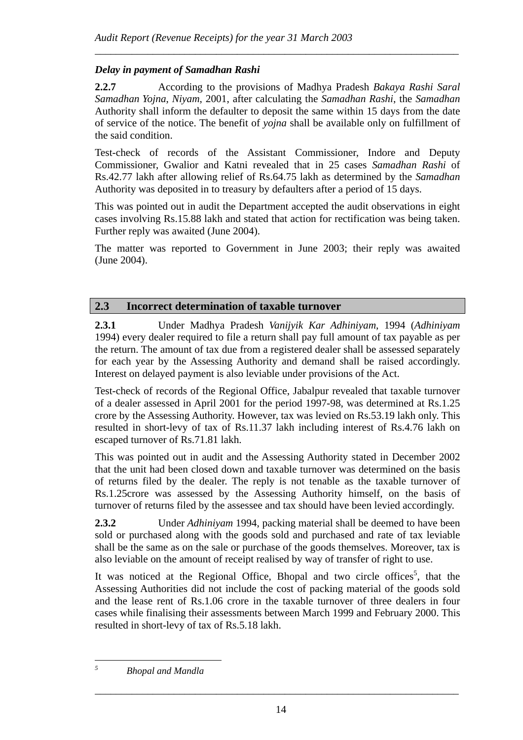# *Delay in payment of Samadhan Rashi*

**2.2.7** According to the provisions of Madhya Pradesh *Bakaya Rashi Saral Samadhan Yojna*, *Niyam*, 2001, after calculating the *Samadhan Rashi*, the *Samadhan* Authority shall inform the defaulter to deposit the same within 15 days from the date of service of the notice. The benefit of *yojna* shall be available only on fulfillment of the said condition.

*\_\_\_\_\_\_\_\_\_\_\_\_\_\_\_\_\_\_\_\_\_\_\_\_\_\_\_\_\_\_\_\_\_\_\_\_\_\_\_\_\_\_\_\_\_\_\_\_\_\_\_\_\_\_\_\_\_\_\_\_\_\_\_\_\_\_\_\_\_* 

Test-check of records of the Assistant Commissioner, Indore and Deputy Commissioner, Gwalior and Katni revealed that in 25 cases *Samadhan Rashi* of Rs.42.77 lakh after allowing relief of Rs.64.75 lakh as determined by the *Samadhan*  Authority was deposited in to treasury by defaulters after a period of 15 days.

This was pointed out in audit the Department accepted the audit observations in eight cases involving Rs.15.88 lakh and stated that action for rectification was being taken. Further reply was awaited (June 2004).

The matter was reported to Government in June 2003; their reply was awaited (June 2004).

### **2.3 Incorrect determination of taxable turnover**

**2.3.1** Under Madhya Pradesh *Vanijyik Kar Adhiniyam*, 1994 (*Adhiniyam*  1994) every dealer required to file a return shall pay full amount of tax payable as per the return. The amount of tax due from a registered dealer shall be assessed separately for each year by the Assessing Authority and demand shall be raised accordingly. Interest on delayed payment is also leviable under provisions of the Act.

Test-check of records of the Regional Office, Jabalpur revealed that taxable turnover of a dealer assessed in April 2001 for the period 1997-98, was determined at Rs.1.25 crore by the Assessing Authority. However, tax was levied on Rs.53.19 lakh only. This resulted in short-levy of tax of Rs.11.37 lakh including interest of Rs.4.76 lakh on escaped turnover of Rs.71.81 lakh.

This was pointed out in audit and the Assessing Authority stated in December 2002 that the unit had been closed down and taxable turnover was determined on the basis of returns filed by the dealer. The reply is not tenable as the taxable turnover of Rs.1.25crore was assessed by the Assessing Authority himself, on the basis of turnover of returns filed by the assessee and tax should have been levied accordingly.

**2.3.2** Under *Adhiniyam* 1994, packing material shall be deemed to have been sold or purchased along with the goods sold and purchased and rate of tax leviable shall be the same as on the sale or purchase of the goods themselves. Moreover, tax is also leviable on the amount of receipt realised by way of transfer of right to use.

It was noticed at the Regional Office, Bhopal and two circle offices<sup>5</sup>, that the Assessing Authorities did not include the cost of packing material of the goods sold and the lease rent of Rs.1.06 crore in the taxable turnover of three dealers in four cases while finalising their assessments between March 1999 and February 2000. This resulted in short-levy of tax of Rs.5.18 lakh.

 *5 Bhopal and Mandla*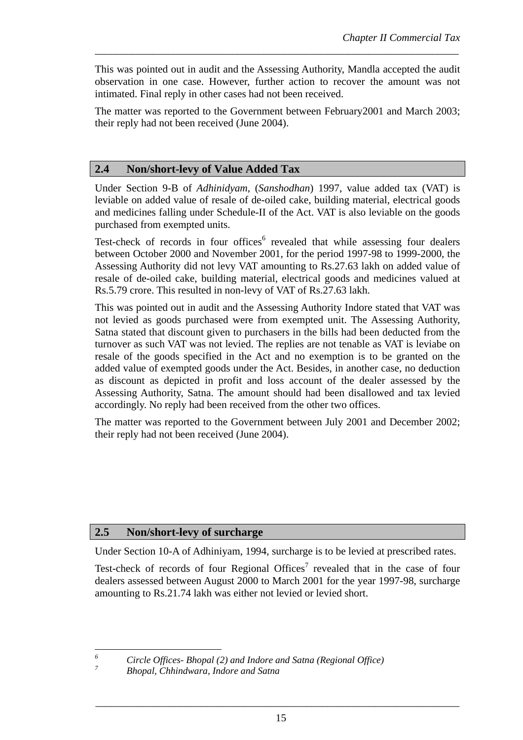This was pointed out in audit and the Assessing Authority, Mandla accepted the audit observation in one case. However, further action to recover the amount was not intimated. Final reply in other cases had not been received.

*\_\_\_\_\_\_\_\_\_\_\_\_\_\_\_\_\_\_\_\_\_\_\_\_\_\_\_\_\_\_\_\_\_\_\_\_\_\_\_\_\_\_\_\_\_\_\_\_\_\_\_\_\_\_\_\_\_\_\_\_\_\_\_\_\_\_\_\_\_* 

The matter was reported to the Government between February2001 and March 2003; their reply had not been received (June 2004).

### **2.4 Non/short-levy of Value Added Tax**

Under Section 9-B of *Adhinidyam*, (*Sanshodhan*) 1997, value added tax (VAT) is leviable on added value of resale of de-oiled cake, building material, electrical goods and medicines falling under Schedule-II of the Act. VAT is also leviable on the goods purchased from exempted units.

Test-check of records in four offices<sup>6</sup> revealed that while assessing four dealers between October 2000 and November 2001, for the period 1997-98 to 1999-2000, the Assessing Authority did not levy VAT amounting to Rs.27.63 lakh on added value of resale of de-oiled cake, building material, electrical goods and medicines valued at Rs.5.79 crore. This resulted in non-levy of VAT of Rs.27.63 lakh.

This was pointed out in audit and the Assessing Authority Indore stated that VAT was not levied as goods purchased were from exempted unit. The Assessing Authority, Satna stated that discount given to purchasers in the bills had been deducted from the turnover as such VAT was not levied. The replies are not tenable as VAT is leviabe on resale of the goods specified in the Act and no exemption is to be granted on the added value of exempted goods under the Act. Besides, in another case, no deduction as discount as depicted in profit and loss account of the dealer assessed by the Assessing Authority, Satna. The amount should had been disallowed and tax levied accordingly. No reply had been received from the other two offices.

The matter was reported to the Government between July 2001 and December 2002; their reply had not been received (June 2004).

### **2.5 Non/short-levy of surcharge**

Under Section 10-A of Adhiniyam, 1994, surcharge is to be levied at prescribed rates.

Test-check of records of four Regional Offices<sup>7</sup> revealed that in the case of four dealers assessed between August 2000 to March 2001 for the year 1997-98, surcharge amounting to Rs.21.74 lakh was either not levied or levied short.

 *Circle Offices- Bhopal (2) and Indore and Satna (Regional Office)* 

*6*

*7*

*Bhopal, Chhindwara, Indore and Satna*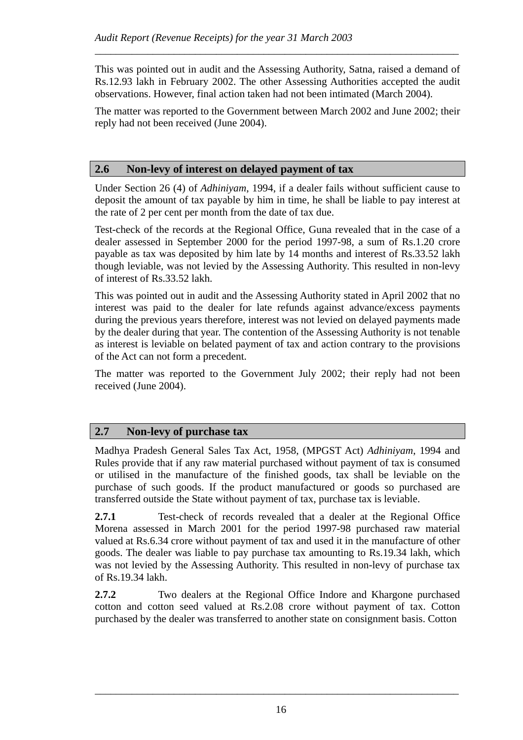This was pointed out in audit and the Assessing Authority, Satna, raised a demand of Rs.12.93 lakh in February 2002. The other Assessing Authorities accepted the audit observations. However, final action taken had not been intimated (March 2004).

*\_\_\_\_\_\_\_\_\_\_\_\_\_\_\_\_\_\_\_\_\_\_\_\_\_\_\_\_\_\_\_\_\_\_\_\_\_\_\_\_\_\_\_\_\_\_\_\_\_\_\_\_\_\_\_\_\_\_\_\_\_\_\_\_\_\_\_\_\_* 

The matter was reported to the Government between March 2002 and June 2002; their reply had not been received (June 2004).

#### **2.6 Non-levy of interest on delayed payment of tax**

Under Section 26 (4) of *Adhiniyam*, 1994, if a dealer fails without sufficient cause to deposit the amount of tax payable by him in time, he shall be liable to pay interest at the rate of 2 per cent per month from the date of tax due.

Test-check of the records at the Regional Office, Guna revealed that in the case of a dealer assessed in September 2000 for the period 1997-98, a sum of Rs.1.20 crore payable as tax was deposited by him late by 14 months and interest of Rs.33.52 lakh though leviable, was not levied by the Assessing Authority. This resulted in non-levy of interest of Rs.33.52 lakh.

This was pointed out in audit and the Assessing Authority stated in April 2002 that no interest was paid to the dealer for late refunds against advance/excess payments during the previous years therefore, interest was not levied on delayed payments made by the dealer during that year. The contention of the Assessing Authority is not tenable as interest is leviable on belated payment of tax and action contrary to the provisions of the Act can not form a precedent.

The matter was reported to the Government July 2002; their reply had not been received (June 2004).

#### **2.7 Non-levy of purchase tax**

Madhya Pradesh General Sales Tax Act, 1958, (MPGST Act) *Adhiniyam*, 1994 and Rules provide that if any raw material purchased without payment of tax is consumed or utilised in the manufacture of the finished goods, tax shall be leviable on the purchase of such goods. If the product manufactured or goods so purchased are transferred outside the State without payment of tax, purchase tax is leviable.

**2.7.1** Test-check of records revealed that a dealer at the Regional Office Morena assessed in March 2001 for the period 1997-98 purchased raw material valued at Rs.6.34 crore without payment of tax and used it in the manufacture of other goods. The dealer was liable to pay purchase tax amounting to Rs.19.34 lakh, which was not levied by the Assessing Authority. This resulted in non-levy of purchase tax of Rs.19.34 lakh.

**2.7.2** Two dealers at the Regional Office Indore and Khargone purchased cotton and cotton seed valued at Rs.2.08 crore without payment of tax. Cotton purchased by the dealer was transferred to another state on consignment basis. Cotton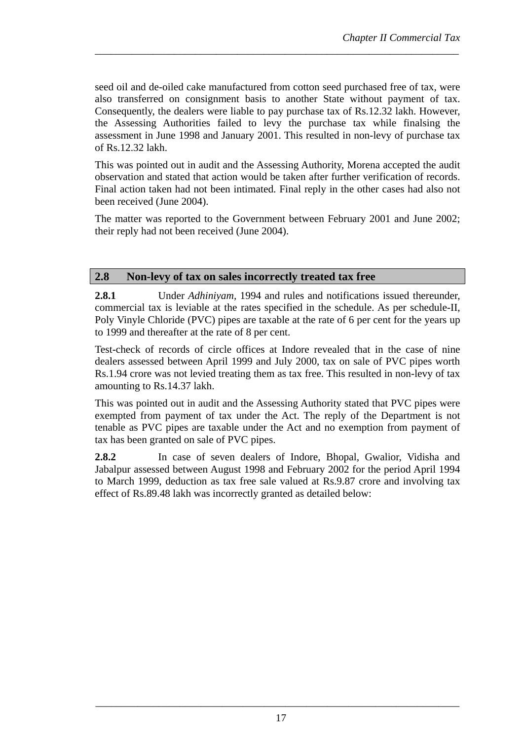seed oil and de-oiled cake manufactured from cotton seed purchased free of tax, were also transferred on consignment basis to another State without payment of tax. Consequently, the dealers were liable to pay purchase tax of Rs.12.32 lakh. However, the Assessing Authorities failed to levy the purchase tax while finalsing the assessment in June 1998 and January 2001. This resulted in non-levy of purchase tax of Rs.12.32 lakh.

*\_\_\_\_\_\_\_\_\_\_\_\_\_\_\_\_\_\_\_\_\_\_\_\_\_\_\_\_\_\_\_\_\_\_\_\_\_\_\_\_\_\_\_\_\_\_\_\_\_\_\_\_\_\_\_\_\_\_\_\_\_\_\_\_\_\_\_\_\_* 

This was pointed out in audit and the Assessing Authority, Morena accepted the audit observation and stated that action would be taken after further verification of records. Final action taken had not been intimated. Final reply in the other cases had also not been received (June 2004).

The matter was reported to the Government between February 2001 and June 2002; their reply had not been received (June 2004).

### **2.8 Non-levy of tax on sales incorrectly treated tax free**

**2.8.1** Under *Adhiniyam,* 1994 and rules and notifications issued thereunder, commercial tax is leviable at the rates specified in the schedule. As per schedule-II, Poly Vinyle Chloride (PVC) pipes are taxable at the rate of 6 per cent for the years up to 1999 and thereafter at the rate of 8 per cent.

Test-check of records of circle offices at Indore revealed that in the case of nine dealers assessed between April 1999 and July 2000, tax on sale of PVC pipes worth Rs.1.94 crore was not levied treating them as tax free. This resulted in non-levy of tax amounting to Rs.14.37 lakh.

This was pointed out in audit and the Assessing Authority stated that PVC pipes were exempted from payment of tax under the Act. The reply of the Department is not tenable as PVC pipes are taxable under the Act and no exemption from payment of tax has been granted on sale of PVC pipes.

**2.8.2** In case of seven dealers of Indore, Bhopal, Gwalior, Vidisha and Jabalpur assessed between August 1998 and February 2002 for the period April 1994 to March 1999, deduction as tax free sale valued at Rs.9.87 crore and involving tax effect of Rs.89.48 lakh was incorrectly granted as detailed below: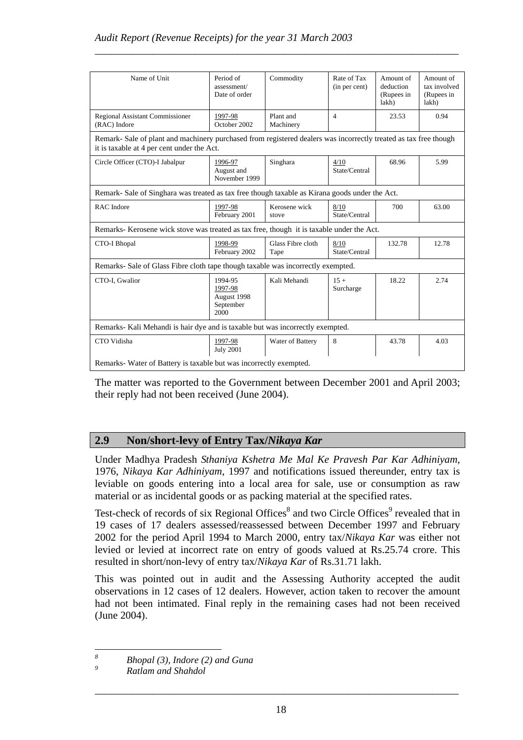| Name of Unit                                                                                                                                                   | Period of<br>assessment/<br>Date of order              | Commodity                 | Rate of Tax<br>(in per cent) | Amount of<br>deduction<br>(Rupees in<br>lakh) | Amount of<br>tax involved<br>(Rupees in<br>lakh) |  |  |  |
|----------------------------------------------------------------------------------------------------------------------------------------------------------------|--------------------------------------------------------|---------------------------|------------------------------|-----------------------------------------------|--------------------------------------------------|--|--|--|
| Regional Assistant Commissioner<br>(RAC) Indore                                                                                                                | 1997-98<br>October 2002                                | Plant and<br>Machinery    | $\overline{4}$               | 23.53                                         | 0.94                                             |  |  |  |
| Remark- Sale of plant and machinery purchased from registered dealers was incorrectly treated as tax free though<br>it is taxable at 4 per cent under the Act. |                                                        |                           |                              |                                               |                                                  |  |  |  |
| Circle Officer (CTO)-I Jabalpur                                                                                                                                | 1996-97<br>August and<br>November 1999                 | Singhara                  | 4/10<br>State/Central        | 68.96                                         | 5.99                                             |  |  |  |
| Remark-Sale of Singhara was treated as tax free though taxable as Kirana goods under the Act.                                                                  |                                                        |                           |                              |                                               |                                                  |  |  |  |
| <b>RAC</b> Indore                                                                                                                                              | 1997-98<br>February 2001                               | Kerosene wick<br>stove    | 8/10<br>State/Central        | 700                                           | 63.00                                            |  |  |  |
| Remarks- Kerosene wick stove was treated as tax free, though it is taxable under the Act.                                                                      |                                                        |                           |                              |                                               |                                                  |  |  |  |
| <b>CTO-I Bhopal</b>                                                                                                                                            | 1998-99<br>February 2002                               | Glass Fibre cloth<br>Tape | 8/10<br>State/Central        | 132.78                                        | 12.78                                            |  |  |  |
| Remarks-Sale of Glass Fibre cloth tape though taxable was incorrectly exempted.                                                                                |                                                        |                           |                              |                                               |                                                  |  |  |  |
| CTO-I. Gwalior                                                                                                                                                 | 1994-95<br>1997-98<br>August 1998<br>September<br>2000 | Kali Mehandi              | $15 +$<br>Surcharge          | 18.22                                         | 2.74                                             |  |  |  |
| Remarks- Kali Mehandi is hair dye and is taxable but was incorrectly exempted.                                                                                 |                                                        |                           |                              |                                               |                                                  |  |  |  |
| CTO Vidisha                                                                                                                                                    | 1997-98<br><b>July 2001</b>                            | Water of Battery          | 8                            | 43.78                                         | 4.03                                             |  |  |  |
| Remarks-Water of Battery is taxable but was incorrectly exempted.                                                                                              |                                                        |                           |                              |                                               |                                                  |  |  |  |

*\_\_\_\_\_\_\_\_\_\_\_\_\_\_\_\_\_\_\_\_\_\_\_\_\_\_\_\_\_\_\_\_\_\_\_\_\_\_\_\_\_\_\_\_\_\_\_\_\_\_\_\_\_\_\_\_\_\_\_\_\_\_\_\_\_\_\_\_\_* 

The matter was reported to the Government between December 2001 and April 2003; their reply had not been received (June 2004).

# **2.9 Non/short-levy of Entry Tax/***Nikaya Kar*

Under Madhya Pradesh *Sthaniya Kshetra Me Mal Ke Pravesh Par Kar Adhiniyam,*  1976, *Nikaya Kar Adhiniyam*, 1997 and notifications issued thereunder, entry tax is leviable on goods entering into a local area for sale, use or consumption as raw material or as incidental goods or as packing material at the specified rates.

Test-check of records of six Regional Offices<sup>8</sup> and two Circle Offices<sup>9</sup> revealed that in 19 cases of 17 dealers assessed/reassessed between December 1997 and February 2002 for the period April 1994 to March 2000, entry tax/*Nikaya Kar* was either not levied or levied at incorrect rate on entry of goods valued at Rs.25.74 crore. This resulted in short/non-levy of entry tax/*Nikaya Kar* of Rs.31.71 lakh.

This was pointed out in audit and the Assessing Authority accepted the audit observations in 12 cases of 12 dealers. However, action taken to recover the amount had not been intimated. Final reply in the remaining cases had not been received (June 2004).

 *8 Bhopal (3), Indore (2) and Guna* 

*<sup>9</sup> Ratlam and Shahdol*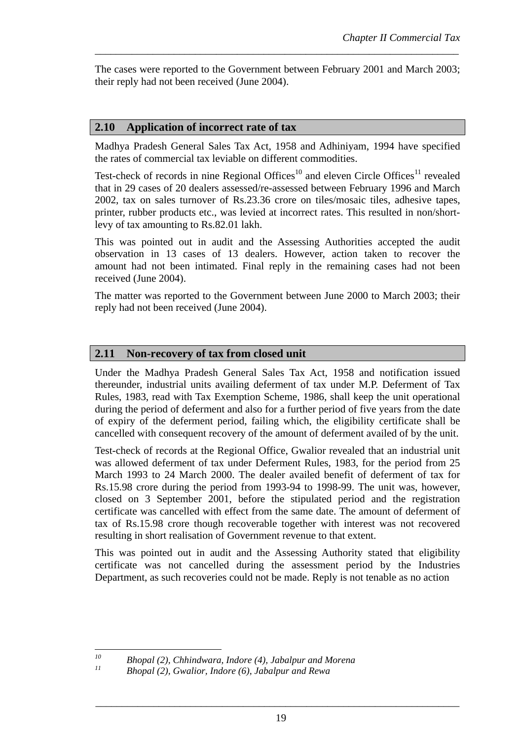The cases were reported to the Government between February 2001 and March 2003; their reply had not been received (June 2004).

*\_\_\_\_\_\_\_\_\_\_\_\_\_\_\_\_\_\_\_\_\_\_\_\_\_\_\_\_\_\_\_\_\_\_\_\_\_\_\_\_\_\_\_\_\_\_\_\_\_\_\_\_\_\_\_\_\_\_\_\_\_\_\_\_\_\_\_\_\_* 

#### **2.10 Application of incorrect rate of tax**

Madhya Pradesh General Sales Tax Act, 1958 and Adhiniyam, 1994 have specified the rates of commercial tax leviable on different commodities.

Test-check of records in nine Regional Offices<sup>10</sup> and eleven Circle Offices<sup>11</sup> revealed that in 29 cases of 20 dealers assessed/re-assessed between February 1996 and March 2002, tax on sales turnover of Rs.23.36 crore on tiles/mosaic tiles, adhesive tapes, printer, rubber products etc., was levied at incorrect rates. This resulted in non/shortlevy of tax amounting to Rs.82.01 lakh.

This was pointed out in audit and the Assessing Authorities accepted the audit observation in 13 cases of 13 dealers. However, action taken to recover the amount had not been intimated. Final reply in the remaining cases had not been received (June 2004).

The matter was reported to the Government between June 2000 to March 2003; their reply had not been received (June 2004).

#### **2.11 Non-recovery of tax from closed unit**

Under the Madhya Pradesh General Sales Tax Act, 1958 and notification issued thereunder, industrial units availing deferment of tax under M.P. Deferment of Tax Rules, 1983, read with Tax Exemption Scheme, 1986, shall keep the unit operational during the period of deferment and also for a further period of five years from the date of expiry of the deferment period, failing which, the eligibility certificate shall be cancelled with consequent recovery of the amount of deferment availed of by the unit.

Test-check of records at the Regional Office, Gwalior revealed that an industrial unit was allowed deferment of tax under Deferment Rules, 1983, for the period from 25 March 1993 to 24 March 2000. The dealer availed benefit of deferment of tax for Rs.15.98 crore during the period from 1993-94 to 1998-99. The unit was, however, closed on 3 September 2001, before the stipulated period and the registration certificate was cancelled with effect from the same date. The amount of deferment of tax of Rs.15.98 crore though recoverable together with interest was not recovered resulting in short realisation of Government revenue to that extent.

This was pointed out in audit and the Assessing Authority stated that eligibility certificate was not cancelled during the assessment period by the Industries Department, as such recoveries could not be made. Reply is not tenable as no action

 $10$ *10 Bhopal (2), Chhindwara, Indore (4), Jabalpur and Morena* 

*<sup>11</sup> Bhopal (2), Gwalior, Indore (6), Jabalpur and Rewa*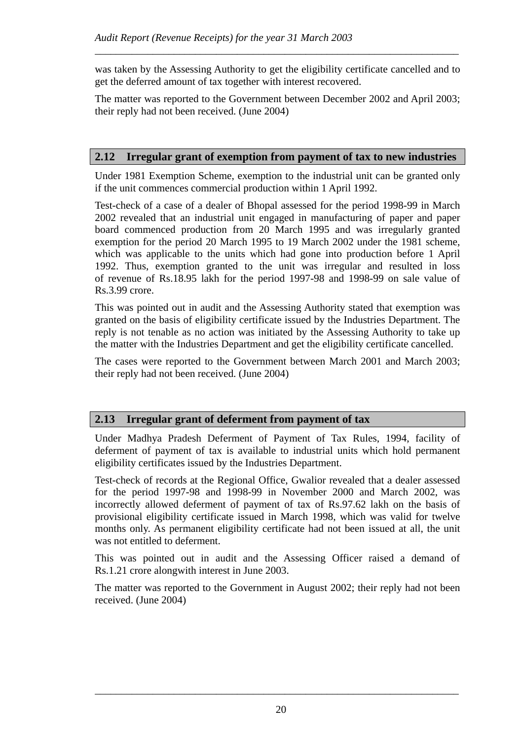was taken by the Assessing Authority to get the eligibility certificate cancelled and to get the deferred amount of tax together with interest recovered.

*\_\_\_\_\_\_\_\_\_\_\_\_\_\_\_\_\_\_\_\_\_\_\_\_\_\_\_\_\_\_\_\_\_\_\_\_\_\_\_\_\_\_\_\_\_\_\_\_\_\_\_\_\_\_\_\_\_\_\_\_\_\_\_\_\_\_\_\_\_* 

The matter was reported to the Government between December 2002 and April 2003; their reply had not been received. (June 2004)

### **2.12 Irregular grant of exemption from payment of tax to new industries**

Under 1981 Exemption Scheme, exemption to the industrial unit can be granted only if the unit commences commercial production within 1 April 1992.

Test-check of a case of a dealer of Bhopal assessed for the period 1998-99 in March 2002 revealed that an industrial unit engaged in manufacturing of paper and paper board commenced production from 20 March 1995 and was irregularly granted exemption for the period 20 March 1995 to 19 March 2002 under the 1981 scheme, which was applicable to the units which had gone into production before 1 April 1992. Thus, exemption granted to the unit was irregular and resulted in loss of revenue of Rs.18.95 lakh for the period 1997-98 and 1998-99 on sale value of Rs.3.99 crore.

This was pointed out in audit and the Assessing Authority stated that exemption was granted on the basis of eligibility certificate issued by the Industries Department. The reply is not tenable as no action was initiated by the Assessing Authority to take up the matter with the Industries Department and get the eligibility certificate cancelled.

The cases were reported to the Government between March 2001 and March 2003; their reply had not been received. (June 2004)

### **2.13 Irregular grant of deferment from payment of tax**

Under Madhya Pradesh Deferment of Payment of Tax Rules, 1994, facility of deferment of payment of tax is available to industrial units which hold permanent eligibility certificates issued by the Industries Department.

Test-check of records at the Regional Office, Gwalior revealed that a dealer assessed for the period 1997-98 and 1998-99 in November 2000 and March 2002, was incorrectly allowed deferment of payment of tax of Rs.97.62 lakh on the basis of provisional eligibility certificate issued in March 1998, which was valid for twelve months only. As permanent eligibility certificate had not been issued at all, the unit was not entitled to deferment.

This was pointed out in audit and the Assessing Officer raised a demand of Rs.1.21 crore alongwith interest in June 2003.

The matter was reported to the Government in August 2002; their reply had not been received. (June 2004)